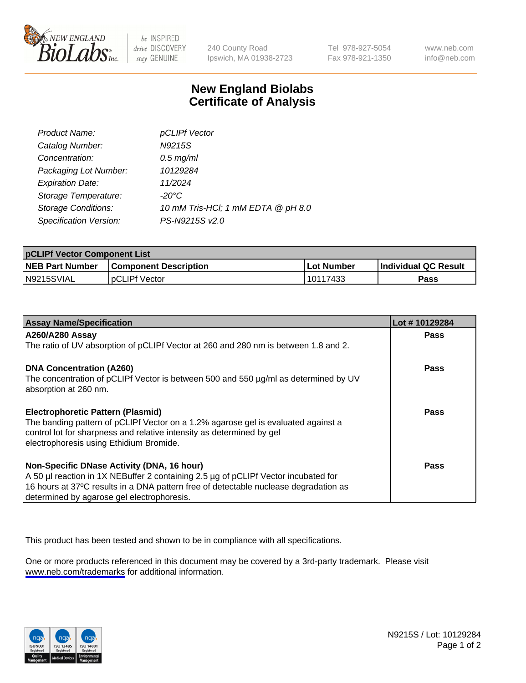

be INSPIRED drive DISCOVERY stay GENUINE

240 County Road Ipswich, MA 01938-2723 Tel 978-927-5054 Fax 978-921-1350

www.neb.com info@neb.com

## **New England Biolabs Certificate of Analysis**

| Product Name:              | pCLIPf Vector                      |
|----------------------------|------------------------------------|
| Catalog Number:            | N9215S                             |
| Concentration:             | $0.5$ mg/ml                        |
| Packaging Lot Number:      | 10129284                           |
| <b>Expiration Date:</b>    | 11/2024                            |
| Storage Temperature:       | $-20^{\circ}$ C                    |
| <b>Storage Conditions:</b> | 10 mM Tris-HCl; 1 mM EDTA @ pH 8.0 |
| Specification Version:     | PS-N9215S v2.0                     |

| <b>pCLIPf Vector Component List</b> |                              |            |                             |  |
|-------------------------------------|------------------------------|------------|-----------------------------|--|
| <b>NEB Part Number</b>              | <b>Component Description</b> | Lot Number | <b>Individual QC Result</b> |  |
| IN9215SVIAL                         | <b>DCLIPf Vector</b>         | 10117433   | Pass                        |  |

| <b>Assay Name/Specification</b>                                                      | Lot #10129284 |
|--------------------------------------------------------------------------------------|---------------|
| <b>A260/A280 Assay</b>                                                               | <b>Pass</b>   |
| The ratio of UV absorption of pCLIPf Vector at 260 and 280 nm is between 1.8 and 2.  |               |
| DNA Concentration (A260)                                                             | Pass          |
| The concentration of pCLIPf Vector is between 500 and 550 µg/ml as determined by UV  |               |
| absorption at 260 nm.                                                                |               |
| <b>Electrophoretic Pattern (Plasmid)</b>                                             | Pass          |
| The banding pattern of pCLIPf Vector on a 1.2% agarose gel is evaluated against a    |               |
| control lot for sharpness and relative intensity as determined by gel                |               |
| electrophoresis using Ethidium Bromide.                                              |               |
| Non-Specific DNase Activity (DNA, 16 hour)                                           | <b>Pass</b>   |
| A 50 µl reaction in 1X NEBuffer 2 containing 2.5 µg of pCLIPf Vector incubated for   |               |
| 16 hours at 37°C results in a DNA pattern free of detectable nuclease degradation as |               |
| determined by agarose gel electrophoresis.                                           |               |

This product has been tested and shown to be in compliance with all specifications.

One or more products referenced in this document may be covered by a 3rd-party trademark. Please visit <www.neb.com/trademarks>for additional information.